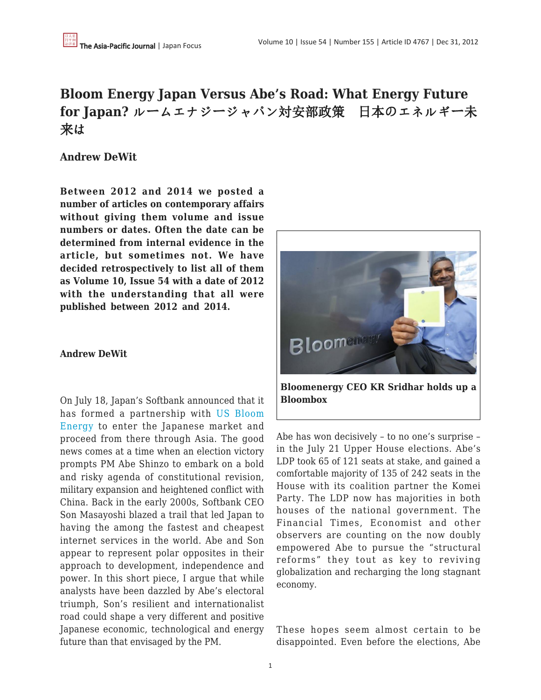# **Bloom Energy Japan Versus Abe's Road: What Energy Future for Japan?** ルームエナジージャパン対安部政策 日本のエネルギー未 来は

## **Andrew DeWit**

**Between 2012 and 2014 we posted a number of articles on contemporary affairs without giving them volume and issue numbers or dates. Often the date can be determined from internal evidence in the article, but sometimes not. We have decided retrospectively to list all of them as Volume 10, Issue 54 with a date of 2012 with the understanding that all were published between 2012 and 2014.**

### **Andrew DeWit**

On July 18, Japan's Softbank announced that it has formed a partnership with [US Bloom](http://www.bloomenergy.com) [Energy](http://www.bloomenergy.com) to enter the Japanese market and proceed from there through Asia. The good news comes at a time when an election victory prompts PM Abe Shinzo to embark on a bold and risky agenda of constitutional revision, military expansion and heightened conflict with China. Back in the early 2000s, Softbank CEO Son Masayoshi blazed a trail that led Japan to having the among the fastest and cheapest internet services in the world. Abe and Son appear to represent polar opposites in their approach to development, independence and power. In this short piece, I argue that while analysts have been dazzled by Abe's electoral triumph, Son's resilient and internationalist road could shape a very different and positive Japanese economic, technological and energy future than that envisaged by the PM.



**Bloomenergy CEO KR Sridhar holds up a Bloombox**

Abe has won decisively – to no one's surprise – in the July 21 Upper House elections. Abe's LDP took 65 of 121 seats at stake, and gained a comfortable majority of 135 of 242 seats in the House with its coalition partner the Komei Party. The LDP now has majorities in both houses of the national government. The Financial Times, Economist and other observers are counting on the now doubly empowered Abe to pursue the "structural reforms" they tout as key to reviving globalization and recharging the long stagnant economy.

These hopes seem almost certain to be disappointed. Even before the elections, Abe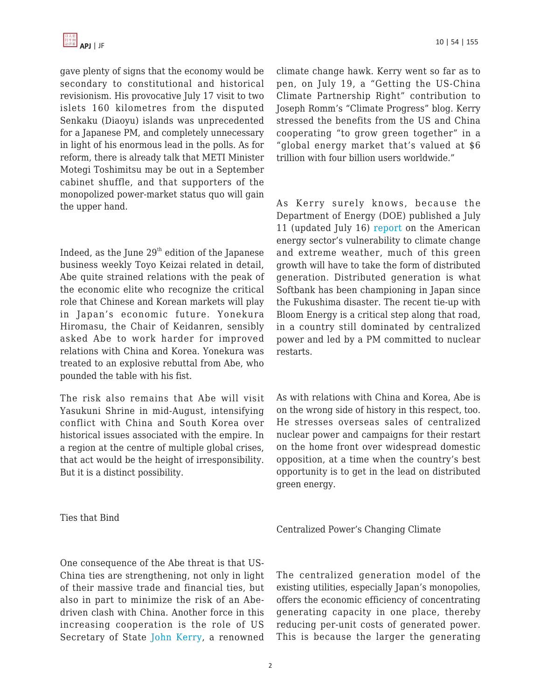

gave plenty of signs that the economy would be secondary to constitutional and historical revisionism. His provocative July 17 visit to two islets 160 kilometres from the disputed Senkaku (Diaoyu) islands was unprecedented for a Japanese PM, and completely unnecessary in light of his enormous lead in the polls. As for reform, there is already talk that METI Minister Motegi Toshimitsu may be out in a September cabinet shuffle, and that supporters of the monopolized power-market status quo will gain the upper hand.

Indeed, as the June  $29<sup>th</sup>$  edition of the Japanese business weekly Toyo Keizai related in detail, Abe quite strained relations with the peak of the economic elite who recognize the critical role that Chinese and Korean markets will play in Japan's economic future. Yonekura Hiromasu, the Chair of Keidanren, sensibly asked Abe to work harder for improved relations with China and Korea. Yonekura was treated to an explosive rebuttal from Abe, who pounded the table with his fist.

The risk also remains that Abe will visit Yasukuni Shrine in mid-August, intensifying conflict with China and South Korea over historical issues associated with the empire. In a region at the centre of multiple global crises, that act would be the height of irresponsibility. But it is a distinct possibility.

Ties that Bind

climate change hawk. Kerry went so far as to pen, on July 19, a "Getting the US-China Climate Partnership Right" contribution to Joseph Romm's "Climate Progress" blog. Kerry stressed the benefits from the US and China cooperating "to grow green together" in a "global energy market that's valued at \$6 trillion with four billion users worldwide."

As Kerry surely knows, because the Department of Energy (DOE) published a July 11 (updated July 16) [report](http://energy.gov/downloads/us-energy-sector-vulnerabilities-climate-change-and-extreme-weather) on the American energy sector's vulnerability to climate change and extreme weather, much of this green growth will have to take the form of distributed generation. Distributed generation is what Softbank has been championing in Japan since the Fukushima disaster. The recent tie-up with Bloom Energy is a critical step along that road, in a country still dominated by centralized power and led by a PM committed to nuclear restarts.

As with relations with China and Korea, Abe is on the wrong side of history in this respect, too. He stresses overseas sales of centralized nuclear power and campaigns for their restart on the home front over widespread domestic opposition, at a time when the country's best opportunity is to get in the lead on distributed green energy.

Centralized Power's Changing Climate

One consequence of the Abe threat is that US-China ties are strengthening, not only in light of their massive trade and financial ties, but also in part to minimize the risk of an Abedriven clash with China. Another force in this increasing cooperation is the role of US Secretary of State [John Kerry,](http://thinkprogress.org/climate/2013/07/19/2328571/sec-kerry-getting-the-us-china-climate-partnership-right/) a renowned

The centralized generation model of the existing utilities, especially Japan's monopolies, offers the economic efficiency of concentrating generating capacity in one place, thereby reducing per-unit costs of generated power. This is because the larger the generating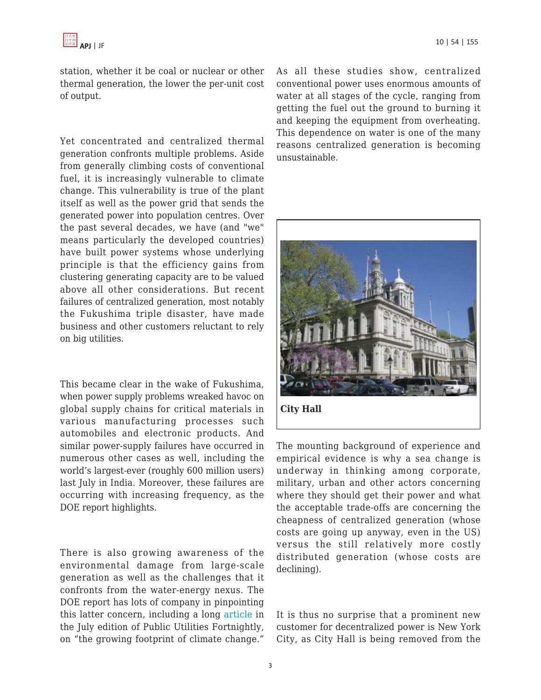station, whether it be coal or nuclear or other thermal generation, the lower the per-unit cost of output.

Yet concentrated and centralized thermal generation confronts multiple problems. Aside from generally climbing costs of conventional fuel, it is increasingly vulnerable to climate change. This vulnerability is true of the plant itself as well as the power grid that sends the generated power into population centres. Over the past several decades, we have (and "we" means particularly the developed countries) have built power systems whose underlying principle is that the efficiency gains from clustering generating capacity are to be valued above all other considerations. But recent failures of centralized generation, most notably the Fukushima triple disaster, have made business and other customers reluctant to rely on big utilities.

This became clear in the wake of Fukushima, when power supply problems wreaked havoc on global supply chains for critical materials in various manufacturing processes such automobiles and electronic products. And similar power-supply failures have occurred in numerous other cases as well, including the world's largest-ever (roughly 600 million users) last July in India. Moreover, these failures are occurring with increasing frequency, as the DOE report highlights.

There is also growing awareness of the environmental damage from large-scale generation as well as the challenges that it confronts from the water-energy nexus. The DOE report has lots of company in pinpointing this latter concern, including a long [article](http://www.fortnightly.com/fortnightly/2013/07/growing-footprint-climate-change) in the July edition of Public Utilities Fortnightly, on "the growing footprint of climate change."

As all these studies show, centralized conventional power uses enormous amounts of water at all stages of the cycle, ranging from getting the fuel out the ground to burning it and keeping the equipment from overheating. This dependence on water is one of the many reasons centralized generation is becoming unsustainable.



The mounting background of experience and empirical evidence is why a sea change is underway in thinking among corporate, military, urban and other actors concerning where they should get their power and what the acceptable trade-offs are concerning the cheapness of centralized generation (whose costs are going up anyway, even in the US) versus the still relatively more costly distributed generation (whose costs are declining).

It is thus no surprise that a prominent new customer for decentralized power is New York City, as City Hall is being removed from the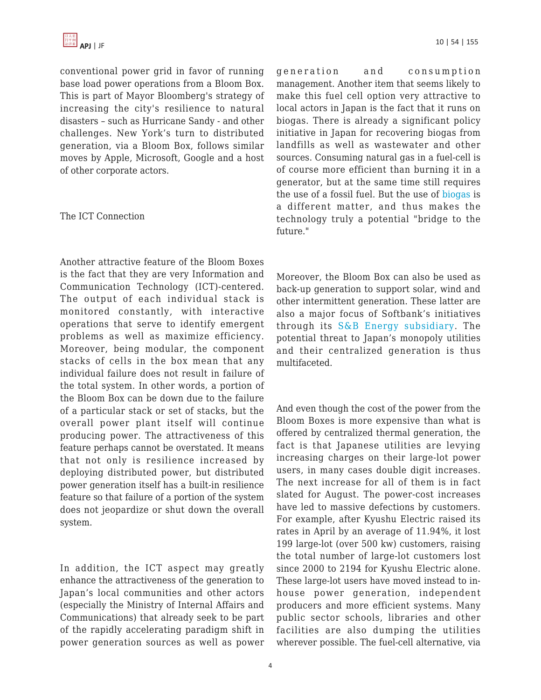conventional power grid in favor of running base load power operations from a Bloom Box. This is part of Mayor Bloomberg's strategy of increasing the city's resilience to natural disasters – such as Hurricane Sandy - and other challenges. New York's turn to distributed generation, via a Bloom Box, follows similar moves by Apple, Microsoft, Google and a host of other corporate actors.

#### The ICT Connection

Another attractive feature of the Bloom Boxes is the fact that they are very Information and Communication Technology (ICT)-centered. The output of each individual stack is monitored constantly, with interactive operations that serve to identify emergent problems as well as maximize efficiency. Moreover, being modular, the component stacks of cells in the box mean that any individual failure does not result in failure of the total system. In other words, a portion of the Bloom Box can be down due to the failure of a particular stack or set of stacks, but the overall power plant itself will continue producing power. The attractiveness of this feature perhaps cannot be overstated. It means that not only is resilience increased by deploying distributed power, but distributed power generation itself has a built-in resilience feature so that failure of a portion of the system does not jeopardize or shut down the overall system.

In addition, the ICT aspect may greatly enhance the attractiveness of the generation to Japan's local communities and other actors (especially the Ministry of Internal Affairs and Communications) that already seek to be part of the rapidly accelerating paradigm shift in power generation sources as well as power generation and consumption management. Another item that seems likely to make this fuel cell option very attractive to local actors in Japan is the fact that it runs on biogas. There is already a significant policy initiative in Japan for recovering biogas from landfills as well as wastewater and other sources. Consuming natural gas in a fuel-cell is of course more efficient than burning it in a generator, but at the same time still requires the use of a fossil fuel. But the use of [biogas](http://biomassmagazine.com/articles/9154/equipment-profile-biogas-powered-fuel-cells/) is a different matter, and thus makes the technology truly a potential "bridge to the future."

Moreover, the Bloom Box can also be used as back-up generation to support solar, wind and other intermittent generation. These latter are also a major focus of Softbank's initiatives through its [S&B Energy subsidiary.](http://www.sbenergy.co.jp) The potential threat to Japan's monopoly utilities and their centralized generation is thus multifaceted.

And even though the cost of the power from the Bloom Boxes is more expensive than what is offered by centralized thermal generation, the fact is that Japanese utilities are levying increasing charges on their large-lot power users, in many cases double digit increases. The next increase for all of them is in fact slated for August. The power-cost increases have led to massive defections by customers. For example, after Kyushu Electric raised its rates in April by an average of 11.94%, it lost 199 large-lot (over 500 kw) customers, raising the total number of large-lot customers lost since 2000 to 2194 for Kyushu Electric alone. These large-lot users have moved instead to inhouse power generation, independent producers and more efficient systems. Many public sector schools, libraries and other facilities are also dumping the utilities wherever possible. The fuel-cell alternative, via